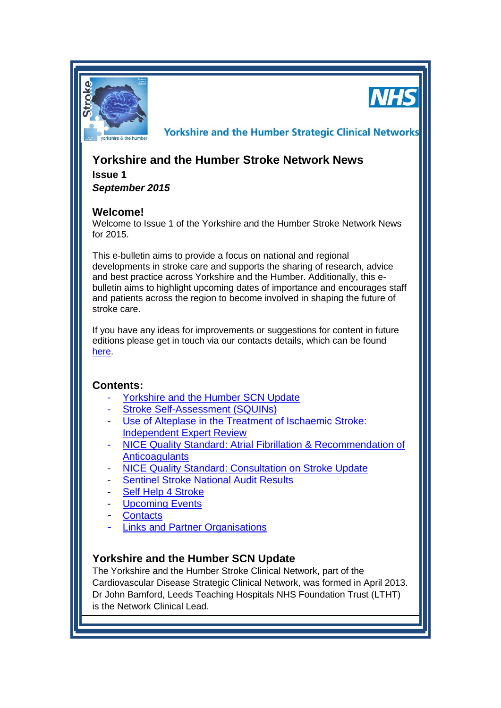

**NHS** 

**Yorkshire and the Humber Strategic Clinical Networks** 

# **Yorkshire and the Humber Stroke Network News**

**Issue 1** *September 2015*

### **Welcome!**

Welcome to Issue 1 of the Yorkshire and the Humber Stroke Network News for 2015.

This e-bulletin aims to provide a focus on national and regional developments in stroke care and supports the sharing of research, advice and best practice across Yorkshire and the Humber. Additionally, this ebulletin aims to highlight upcoming dates of importance and encourages staff and patients across the region to become involved in shaping the future of stroke care.

If you have any ideas for improvements or suggestions for content in future editions please get in touch via our contacts details, which can be found [here.](#page-4-0)

### **Contents:**

- [Yorkshire and the Humber SCN Update](#page-0-0)
- [Stroke Self-Assessment \(SQUINs\)](#page-1-0)
- Use of Alteplase in the Treatment of Ischaemic Stroke: [Independent Expert Review](#page-2-0)
- [NICE Quality Standard: Atrial Fibrillation](#page-2-1) & Recommendation of **[Anticoagulants](#page-2-1)**
- [NICE Quality Standard: Consultation on Stroke Update](#page-3-0)
- [Sentinel Stroke National Audit Results](#page-3-1)
- [Self Help 4 Stroke](#page-3-2)
- **[Upcoming Events](#page-3-3)**
- **[Contacts](#page-4-0)**
- [Links and Partner Organisations](#page-4-1)

### <span id="page-0-0"></span>**Yorkshire and the Humber SCN Update**

The Yorkshire and the Humber Stroke Clinical Network, part of the Cardiovascular Disease Strategic Clinical Network, was formed in April 2013. Dr John Bamford, Leeds Teaching Hospitals NHS Foundation Trust (LTHT) is the Network Clinical Lead.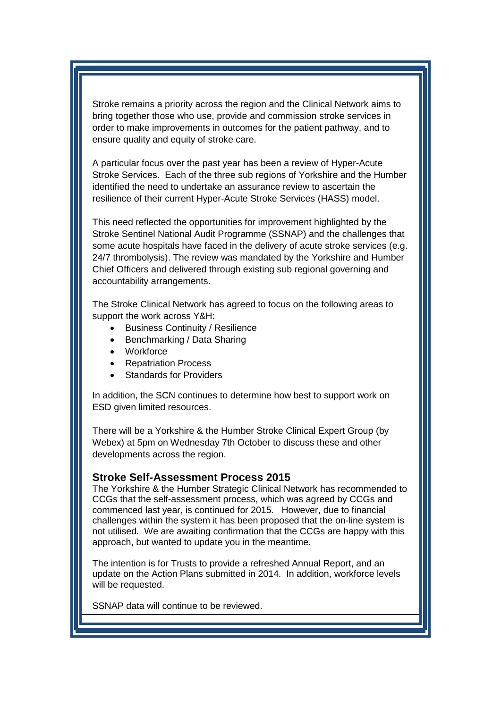Stroke remains a priority across the region and the Clinical Network aims to bring together those who use, provide and commission stroke services in order to make improvements in outcomes for the patient pathway, and to ensure quality and equity of stroke care.

A particular focus over the past year has been a review of Hyper-Acute Stroke Services. Each of the three sub regions of Yorkshire and the Humber identified the need to undertake an assurance review to ascertain the resilience of their current Hyper-Acute Stroke Services (HASS) model.

This need reflected the opportunities for improvement highlighted by the Stroke Sentinel National Audit Programme (SSNAP) and the challenges that some acute hospitals have faced in the delivery of acute stroke services (e.g. 24/7 thrombolysis). The review was mandated by the Yorkshire and Humber Chief Officers and delivered through existing sub regional governing and accountability arrangements.

The Stroke Clinical Network has agreed to focus on the following areas to support the work across Y&H:

- Business Continuity / Resilience
- Benchmarking / Data Sharing
- Workforce
- Repatriation Process
- Standards for Providers

In addition, the SCN continues to determine how best to support work on ESD given limited resources.

There will be a Yorkshire & the Humber Stroke Clinical Expert Group (by Webex) at 5pm on Wednesday 7th October to discuss these and other developments across the region.

#### <span id="page-1-0"></span>**Stroke Self-Assessment Process 2015**

The Yorkshire & the Humber Strategic Clinical Network has recommended to CCGs that the self-assessment process, which was agreed by CCGs and commenced last year, is continued for 2015. However, due to financial challenges within the system it has been proposed that the on-line system is not utilised. We are awaiting confirmation that the CCGs are happy with this approach, but wanted to update you in the meantime.

The intention is for Trusts to provide a refreshed Annual Report, and an update on the Action Plans submitted in 2014. In addition, workforce levels will be requested.

SSNAP data will continue to be reviewed.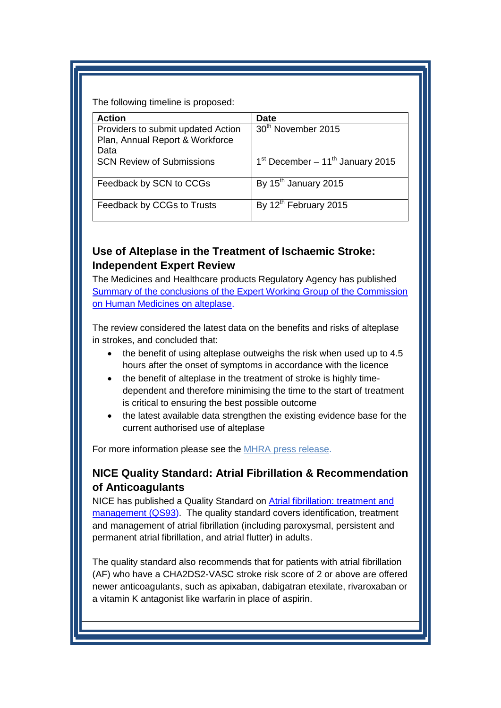The following timeline is proposed:

| <b>Action</b>                      | Date                                           |
|------------------------------------|------------------------------------------------|
| Providers to submit updated Action | 30 <sup>th</sup> November 2015                 |
| Plan, Annual Report & Workforce    |                                                |
| Data                               |                                                |
| <b>SCN Review of Submissions</b>   | $1st$ December – 11 <sup>th</sup> January 2015 |
| Feedback by SCN to CCGs            | By $15th$ January 2015                         |
| Feedback by CCGs to Trusts         | By 12 <sup>th</sup> February 2015              |

### <span id="page-2-0"></span>**Use of Alteplase in the Treatment of Ischaemic Stroke: Independent Expert Review**

The Medicines and Healthcare products Regulatory Agency has published [Summary of the conclusions of the Expert Working Group of the Commission](https://www.gov.uk/government/publications/alteplase-for-treatment-of-acute-ischaemic-stroke-independent-review)  [on Human Medicines on alteplase.](https://www.gov.uk/government/publications/alteplase-for-treatment-of-acute-ischaemic-stroke-independent-review)

The review considered the latest data on the benefits and risks of alteplase in strokes, and concluded that:

- the benefit of using alteplase outweighs the risk when used up to 4.5 hours after the onset of symptoms in accordance with the licence
- the benefit of alteplase in the treatment of stroke is highly timedependent and therefore minimising the time to the start of treatment is critical to ensuring the best possible outcome
- the latest available data strengthen the existing evidence base for the current authorised use of alteplase

For more information please see the [MHRA press release.](https://www.gov.uk/government/news/independent-expert-review-concludes-alteplase-is-safe-and-effective-for-use-within-existing-treatment-guidelines)

## <span id="page-2-1"></span>**NICE Quality Standard: Atrial Fibrillation & Recommendation of Anticoagulants**

NICE has published a Quality Standard on [Atrial fibrillation: treatment and](http://www.nice.org.uk/guidance/qs93)  [management \(QS93\)](http://www.nice.org.uk/guidance/qs93). The quality standard covers identification, treatment and management of atrial fibrillation (including paroxysmal, persistent and permanent atrial fibrillation, and atrial flutter) in adults.

The quality standard also recommends that for patients with atrial fibrillation (AF) who have a CHA2DS2-VASC stroke risk score of 2 or above are offered newer anticoagulants, such as apixaban, dabigatran etexilate, rivaroxaban or a vitamin K antagonist like warfarin in place of aspirin.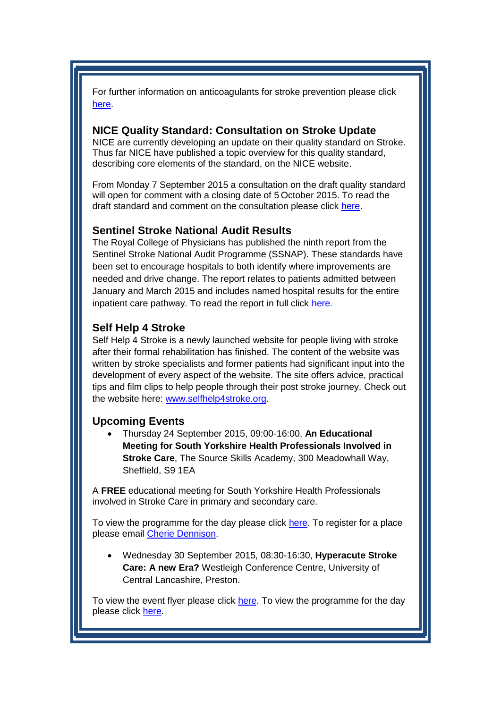For further information on anticoagulants for stroke prevention please click [here.](http://www.nice.org.uk/news/article/offer-anticoagulants-instead-of-aspirin-for-stroke-prevention)

#### <span id="page-3-0"></span>**NICE Quality Standard: Consultation on Stroke Update**

NICE are currently developing an update on their quality standard on Stroke. Thus far NICE have published a topic overview for this quality standard, describing core elements of the standard, on the NICE website.

From Monday 7 September 2015 a consultation on the draft quality standard will open for comment with a closing date of 5 October 2015. To read the draft standard and comment on the consultation please click [here.](http://www.nice.org.uk/guidance/indevelopment/gid-qsd119?)

#### <span id="page-3-1"></span>**Sentinel Stroke National Audit Results**

The Royal College of Physicians has published the ninth report from the Sentinel Stroke National Audit Programme (SSNAP). These standards have been set to encourage hospitals to both identify where improvements are needed and drive change. The report relates to patients admitted between January and March 2015 and includes named hospital results for the entire inpatient care pathway. To read the report in full click [here.](https://www.rcplondon.ac.uk/press-releases/latest-stroke-audit-results-show-world-class-stroke-care-achievable)

### <span id="page-3-2"></span>**Self Help 4 Stroke**

Self Help 4 Stroke is a newly launched website for people living with stroke after their formal rehabilitation has finished. The content of the website was written by stroke specialists and former patients had significant input into the development of every aspect of the website. The site offers advice, practical tips and film clips to help people through their post stroke journey. Check out the website here: [www.selfhelp4stroke.org.](http://www.selfhelp4stroke.org/)

### <span id="page-3-3"></span>**Upcoming Events**

 Thursday 24 September 2015, 09:00-16:00, **An Educational Meeting for South Yorkshire Health Professionals Involved in Stroke Care**, The Source Skills Academy, 300 Meadowhall Way, Sheffield, S9 1EA

A **FREE** educational meeting for South Yorkshire Health Professionals involved in Stroke Care in primary and secondary care.

To view the programme for the day please click [here.](http://www.yhscn.nhs.uk/media/PDFs/cvd/Stroke/FINAL%20SOUTH%20YORKSHIRE%20AGENDA%20INVITE.pdf) To register for a place please email [Cherie Dennison.](mailto:cherie.dennison@bms.com)

 Wednesday 30 September 2015, 08:30-16:30, **Hyperacute Stroke Care: A new Era?** Westleigh Conference Centre, University of Central Lancashire, Preston.

To view the event flyer please click [here.](http://www.yhscn.nhs.uk/media/PDFs/cvd/Stroke/Hyperacute%20Stroke%20Care%20Conference%20Flyer.pdf) To view the programme for the day please click [here.](http://www.yhscn.nhs.uk/media/PDFs/cvd/Stroke/Hyperacute%20Stroke%20Care%20Conference%20Programme.pdf)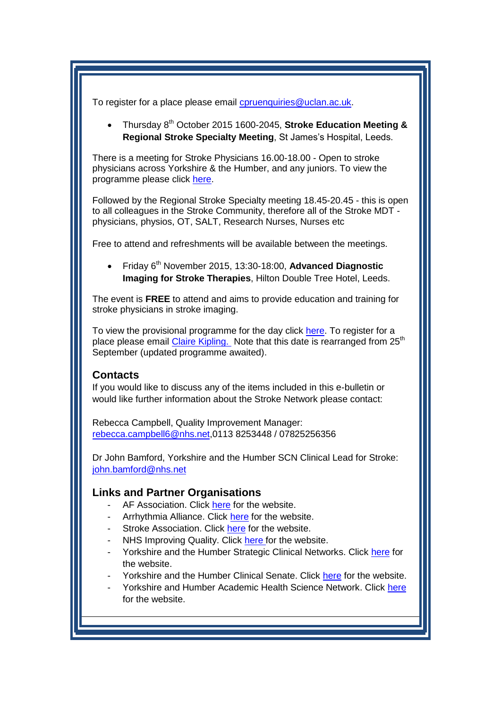To register for a place please email [cpruenquiries@uclan.ac.uk.](mailto:cpruenquiries@uclan.ac.uk)

 Thursday 8th October 2015 1600-2045, **Stroke Education Meeting & Regional Stroke Specialty Meeting**, St James's Hospital, Leeds.

There is a meeting for Stroke Physicians 16.00-18.00 - Open to stroke physicians across Yorkshire & the Humber, and any juniors. To view the programme please click [here.](http://www.yhscn.nhs.uk/media/PDFs/cvd/Stroke/Stroke%20Education%20Event%20-%2008.10.15.pdf)

Followed by the Regional Stroke Specialty meeting 18.45-20.45 - this is open to all colleagues in the Stroke Community, therefore all of the Stroke MDT physicians, physios, OT, SALT, Research Nurses, Nurses etc

Free to attend and refreshments will be available between the meetings.

 Friday 6th November 2015, 13:30-18:00, **Advanced Diagnostic Imaging for Stroke Therapies**, Hilton Double Tree Hotel, Leeds.

The event is **FREE** to attend and aims to provide education and training for stroke physicians in stroke imaging.

To view the provisional programme for the day click [here.](http://www.yhscn.nhs.uk/media/PDFs/cvd/Stroke/STROKE%20ALERT%20INVITE%20250915.pdf) To register for a place please email [Claire Kipling.](mailto:Claire.Kipling@Covidien.com) Note that this date is rearranged from 25<sup>th</sup> September (updated programme awaited).

### <span id="page-4-0"></span>**Contacts**

If you would like to discuss any of the items included in this e-bulletin or would like further information about the Stroke Network please contact:

Rebecca Campbell, Quality Improvement Manager: [rebecca.campbell6@nhs.net,](mailto:rebecca.campbell6@nhs.net)0113 8253448 / 07825256356

Dr John Bamford, Yorkshire and the Humber SCN Clinical Lead for Stroke: [john.bamford@nhs.net](mailto:john.bamford@nhs.net)

### <span id="page-4-1"></span>**Links and Partner Organisations**

- AF Association. Click [here](http://www.atrialfibrillation.org.uk/) for the website.
- Arrhythmia Alliance. Click [here](http://www.heartrhythmcharity.org.uk/www/76/0/Atrial_fibrillation/) for the website.
- Stroke Association. Click [here](https://www.stroke.org.uk/) for the website.
- NHS Improving Quality. Click [here f](http://www.nhsiq.nhs.uk/)or the website.
- Yorkshire and the Humber Strategic Clinical Networks. Click [here](http://www.yhscn.nhs.uk/index.php) for the website.
- Yorkshire and the Humber Clinical Senate. Click [here](http://www.yhsenate.nhs.uk/index.php) for the website.
- Yorkshire and Humber Academic Health Science Network. Click [here](http://www.yhahsn.org.uk/) for the website.